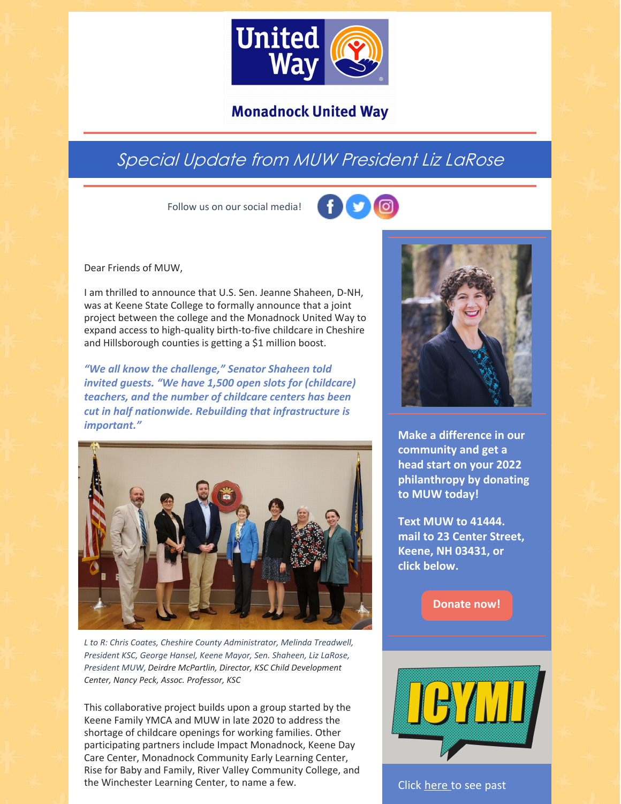

### **Monadnock United Way**

## Special Update from MUW President Liz LaRose

Follow us on our social media!



Dear Friends of MUW,

I am thrilled to announce that U.S. Sen. Jeanne Shaheen, D-NH, was at Keene State College to formally announce that a joint project between the college and the Monadnock United Way to expand access to high-quality birth-to-five childcare in Cheshire and Hillsborough counties is getting a \$1 million boost.

*"We all know the challenge," Senator Shaheen told invited guests. "We have 1,500 open slots for (childcare) teachers, and the number of childcare centers has been cut in half nationwide. Rebuilding that infrastructure is important."*



*L to R: Chris Coates, Cheshire County Administrator, Melinda Treadwell, President KSC, George Hansel, Keene Mayor, Sen. Shaheen, Liz LaRose, President MUW, Deirdre McPartlin, Director, KSC Child Development Center, Nancy Peck, Assoc. Professor, KSC*

This collaborative project builds upon a group started by the Keene Family YMCA and MUW in late 2020 to address the shortage of childcare openings for working families. Other participating partners include Impact Monadnock, Keene Day Care Center, Monadnock Community Early Learning Center, Rise for Baby and Family, River Valley Community College, and the Winchester Learning Center, to name a few.



**Make a difference in our community and get a head start on your 2022 philanthropy by donating to MUW today!**

**Text MUW to 41444. mail to 23 Center Street, Keene, NH 03431, or click below.**

**[Donate](https://app.mobilecause.com/form/ZRKvlQ?reset=1&%253Bid=1&vid=oi7n5) now!**



Click [here](https://www.muw.org/news/newsletters) to see past